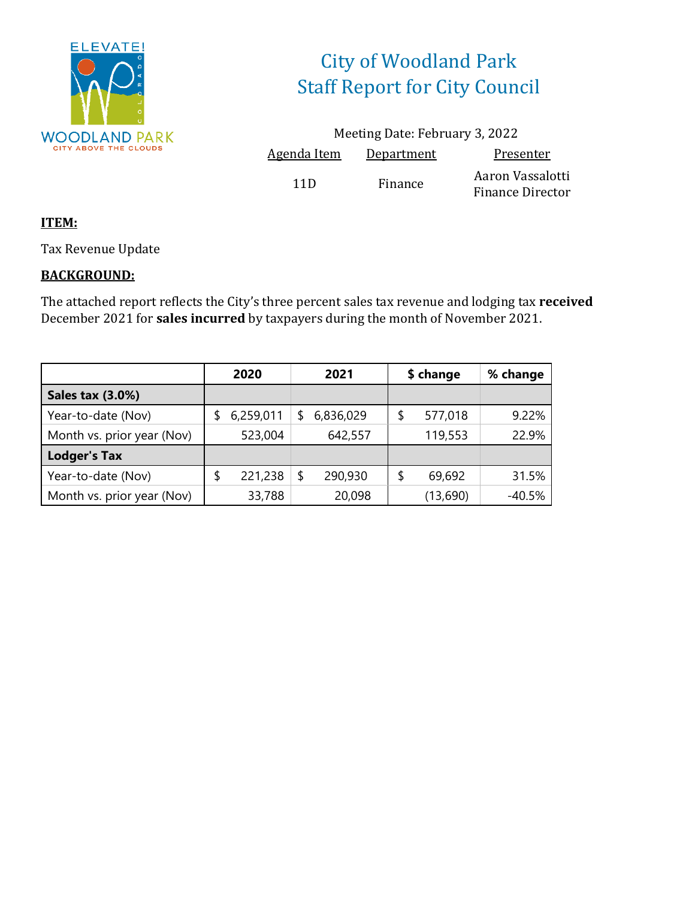

# City of Woodland Park Staff Report for City Council

Meeting Date: February 3, 2022 Agenda Item Department Presenter 11D Finance Aaron Vassalotti Finance Director

### **ITEM:**

Tax Revenue Update

### **BACKGROUND:**

The attached report reflects the City's three percent sales tax revenue and lodging tax **received** December 2021 for **sales incurred** by taxpayers during the month of November 2021.

|                            | 2020 |           |    | 2021      |    | \$ change | % change |  |
|----------------------------|------|-----------|----|-----------|----|-----------|----------|--|
| <b>Sales tax (3.0%)</b>    |      |           |    |           |    |           |          |  |
| Year-to-date (Nov)         |      | 6,259,011 | S  | 6,836,029 | \$ | 577,018   | 9.22%    |  |
| Month vs. prior year (Nov) |      | 523,004   |    | 642,557   |    | 119,553   | 22.9%    |  |
| <b>Lodger's Tax</b>        |      |           |    |           |    |           |          |  |
| Year-to-date (Nov)         |      | 221,238   | \$ | 290,930   | \$ | 69,692    | 31.5%    |  |
| Month vs. prior year (Nov) |      | 33,788    |    | 20,098    |    | (13,690)  | $-40.5%$ |  |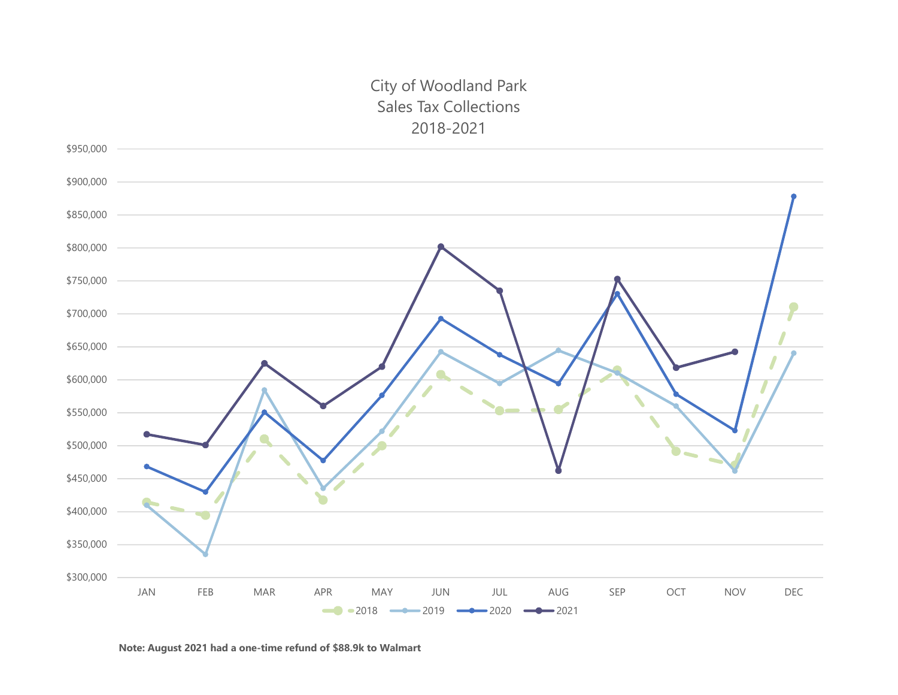### City of Woodland Park Sales Tax Collections2018-2021



**Note: August 2021 had a one-time refund of \$88.9k to Walmart**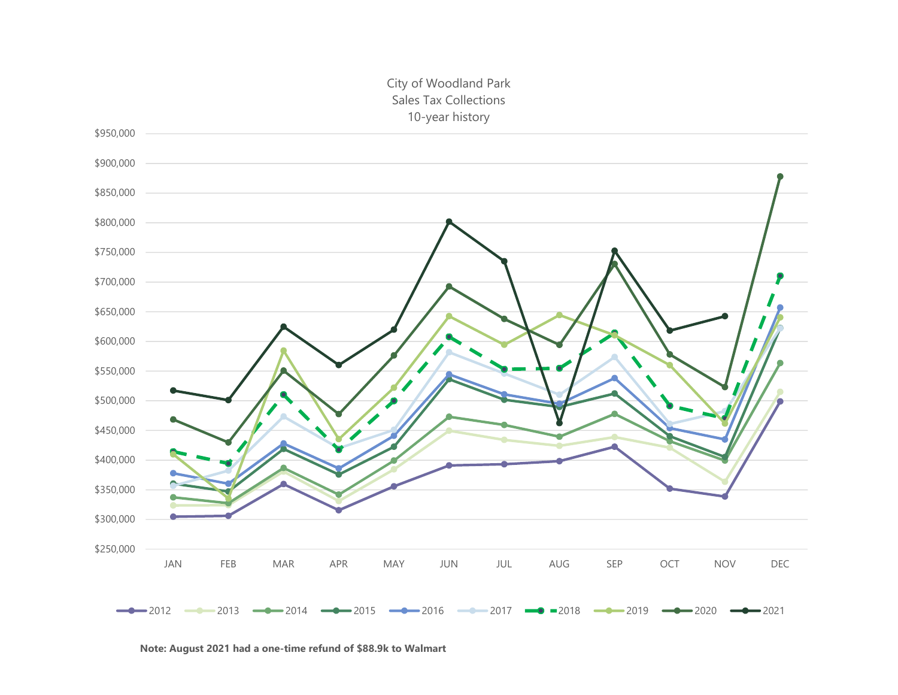### City of Woodland Park Sales Tax Collections 10-year history



**Note: August 2021 had a one-time refund of \$88.9k to Walmart**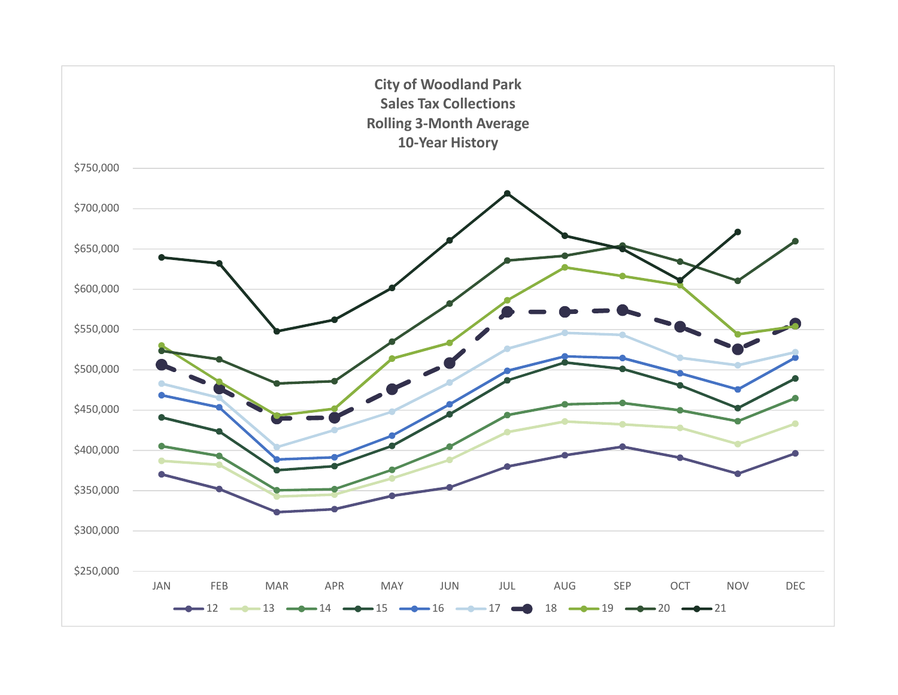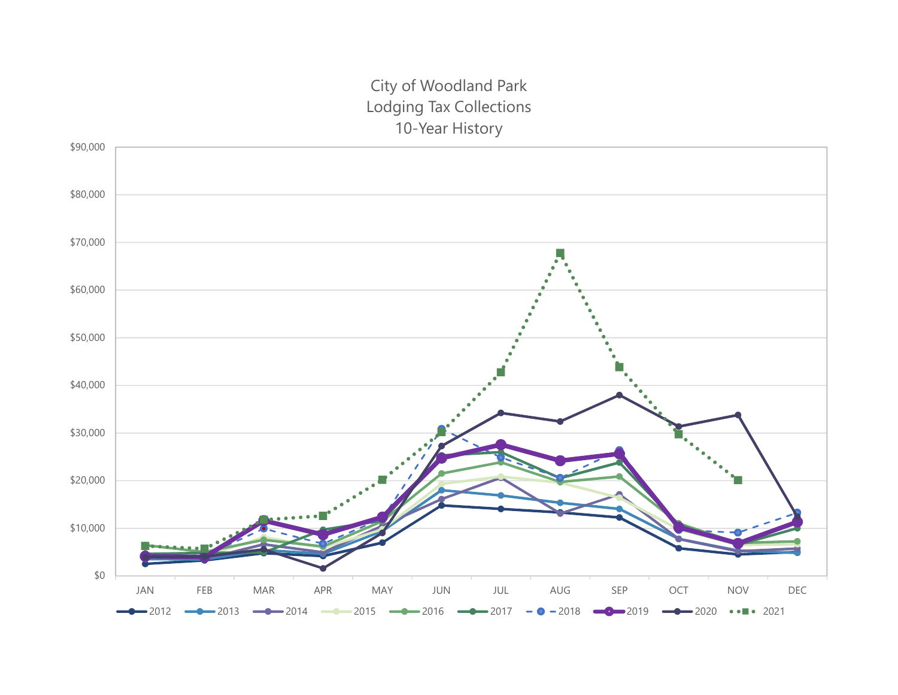## City of Woodland Park Lodging Tax Collections 10-Year History

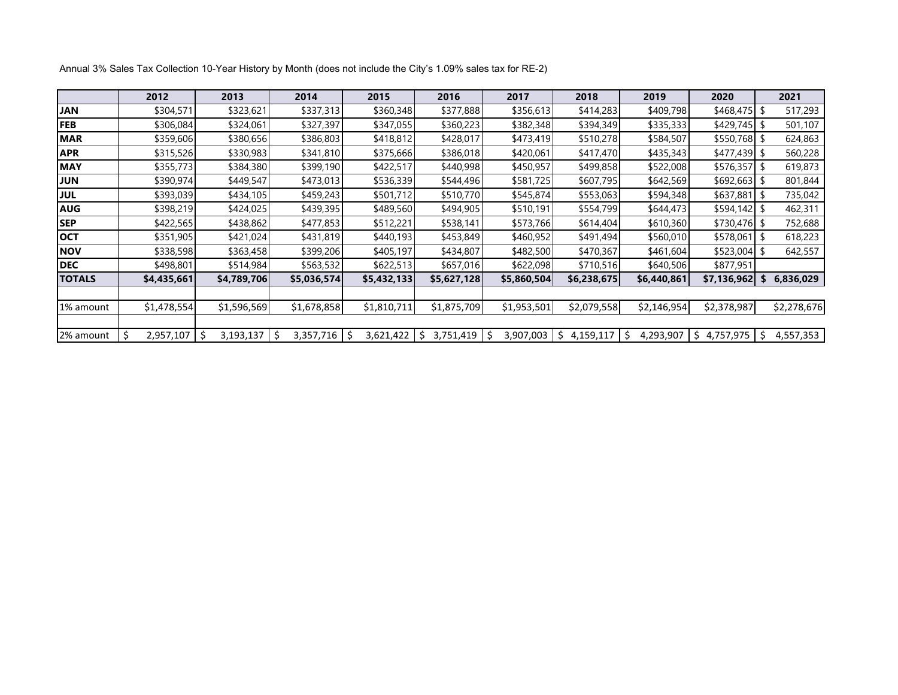|               | 2012        | 2013           | 2014             | 2015             | 2016             | 2017        | 2018           | 2019            | 2020            |     | 2021        |
|---------------|-------------|----------------|------------------|------------------|------------------|-------------|----------------|-----------------|-----------------|-----|-------------|
| <b>JAN</b>    | \$304,571   | \$323,621      | \$337,313        | \$360,348        | \$377,888        | \$356,613   | \$414,283      | \$409,798       | $$468,475$ \$   |     | 517,293     |
| <b>FEB</b>    | \$306,084   | \$324,061      | \$327,397        | \$347,055        | \$360,223        | \$382,348   | \$394,349      | \$335,333       | $$429,745$ \$   |     | 501,107     |
| <b>MAR</b>    | \$359,606   | \$380,656      | \$386,803        | \$418,812        | \$428,017        | \$473,419   | \$510,278      | \$584,507       | $$550,768$ \$   |     | 624,863     |
| <b>APR</b>    | \$315,526   | \$330,983      | \$341,810        | \$375,666        | \$386,018        | \$420,061   | \$417,470      | \$435,343       | $$477,439$ \$   |     | 560,228     |
| <b>MAY</b>    | \$355,773   | \$384,380      | \$399,190        | \$422,517        | \$440,998        | \$450,957   | \$499,858      | \$522,008       | $$576,357$ \$   |     | 619,873     |
| <b>JUN</b>    | \$390,974   | \$449,547      | \$473,013        | \$536,339        | \$544,496        | \$581,725   | \$607,795      | \$642,569       | $$692,663$ \$   |     | 801,844     |
| <b>JUL</b>    | \$393,039   | \$434,105      | \$459,243        | \$501,712        | \$510,770        | \$545,874   | \$553,063      | \$594,348       | $$637,881$ \$   |     | 735,042     |
| <b>AUG</b>    | \$398,219   | \$424,025      | \$439,395        | \$489,560        | \$494,905        | \$510,191   | \$554,799      | \$644,473       | $$594,142$ \$   |     | 462,311     |
| <b>SEP</b>    | \$422,565   | \$438,862      | \$477,853        | \$512,221        | \$538,141        | \$573,766   | \$614,404      | \$610,360       | $$730,476$ \$   |     | 752,688     |
| <b>OCT</b>    | \$351,905   | \$421,024      | \$431,819        | \$440,193        | \$453,849        | \$460,952   | \$491,494      | \$560,010       | $$578,061$ \$   |     | 618,223     |
| <b>NOV</b>    | \$338,598   | \$363,458      | \$399,206        | \$405,197        | \$434,807        | \$482,500   | \$470,367      | \$461,604       | $$523,004$ \$   |     | 642,557     |
| <b>DEC</b>    | \$498,801   | \$514,984      | \$563,532        | \$622,513        | \$657,016        | \$622,098   | \$710,516      | \$640,506       | \$877,951       |     |             |
| <b>TOTALS</b> | \$4,435,661 | \$4,789,706    | \$5,036,574      | \$5,432,133      | \$5,627,128      | \$5,860,504 | \$6,238,675    | \$6,440,861     | \$7,136,962     | \$  | 6,836,029   |
|               |             |                |                  |                  |                  |             |                |                 |                 |     |             |
| 1% amount     | \$1,478,554 | \$1,596,569    | \$1,678,858      | \$1,810,711      | \$1,875,709      | \$1,953,501 | \$2,079,558    | \$2,146,954     | \$2,378,987     |     | \$2,278,676 |
|               |             |                |                  |                  |                  |             |                |                 |                 |     |             |
| 2% amount     | 2,957,107   | Ś<br>3,193,137 | -\$<br>3,357,716 | -\$<br>3,621,422 | -\$<br>3,751,419 | 3,907,003   | 4,159,117<br>S | Ŝ.<br>4,293,907 | S.<br>4,757,975 | -\$ | 4,557,353   |

Annual 3% Sales Tax Collection 10-Year History by Month (does not include the City's 1.09% sales tax for RE-2)